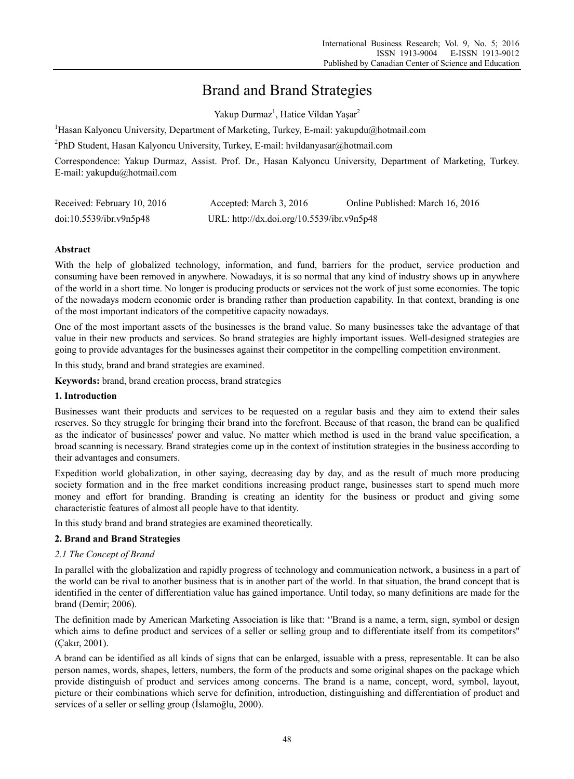# Brand and Brand Strategies

Yakup Durmaz<sup>1</sup>, Hatice Vildan Yaşar<sup>2</sup>

<sup>1</sup>Hasan Kalyoncu University, Department of Marketing, Turkey, E-mail: yakupdu@hotmail.com

2 PhD Student, Hasan Kalyoncu University, Turkey, E-mail: hvildanyasar@hotmail.com

Correspondence: Yakup Durmaz, Assist. Prof. Dr., Hasan Kalyoncu University, Department of Marketing, Turkey. E-mail: yakupdu@hotmail.com

| Received: February 10, 2016 | Accepted: March 3, 2016                    | Online Published: March 16, 2016 |
|-----------------------------|--------------------------------------------|----------------------------------|
| doi:10.5539/ibr.v9n5p48     | URL: http://dx.doi.org/10.5539/ibr.v9n5p48 |                                  |

## **Abstract**

With the help of globalized technology, information, and fund, barriers for the product, service production and consuming have been removed in anywhere. Nowadays, it is so normal that any kind of industry shows up in anywhere of the world in a short time. No longer is producing products or services not the work of just some economies. The topic of the nowadays modern economic order is branding rather than production capability. In that context, branding is one of the most important indicators of the competitive capacity nowadays.

One of the most important assets of the businesses is the brand value. So many businesses take the advantage of that value in their new products and services. So brand strategies are highly important issues. Well-designed strategies are going to provide advantages for the businesses against their competitor in the compelling competition environment.

In this study, brand and brand strategies are examined.

**Keywords:** brand, brand creation process, brand strategies

# **1. Introduction**

Businesses want their products and services to be requested on a regular basis and they aim to extend their sales reserves. So they struggle for bringing their brand into the forefront. Because of that reason, the brand can be qualified as the indicator of businesses' power and value. No matter which method is used in the brand value specification, a broad scanning is necessary. Brand strategies come up in the context of institution strategies in the business according to their advantages and consumers.

Expedition world globalization, in other saying, decreasing day by day, and as the result of much more producing society formation and in the free market conditions increasing product range, businesses start to spend much more money and effort for branding. Branding is creating an identity for the business or product and giving some characteristic features of almost all people have to that identity.

In this study brand and brand strategies are examined theoretically.

# **2. Brand and Brand Strategies**

# *2.1 The Concept of Brand*

In parallel with the globalization and rapidly progress of technology and communication network, a business in a part of the world can be rival to another business that is in another part of the world. In that situation, the brand concept that is identified in the center of differentiation value has gained importance. Until today, so many definitions are made for the brand (Demir; 2006).

The definition made by American Marketing Association is like that: ''Brand is a name, a term, sign, symbol or design which aims to define product and services of a seller or selling group and to differentiate itself from its competitors" (Çakır, 2001).

A brand can be identified as all kinds of signs that can be enlarged, issuable with a press, representable. It can be also person names, words, shapes, letters, numbers, the form of the products and some original shapes on the package which provide distinguish of product and services among concerns. The brand is a name, concept, word, symbol, layout, picture or their combinations which serve for definition, introduction, distinguishing and differentiation of product and services of a seller or selling group (İslamoğlu, 2000).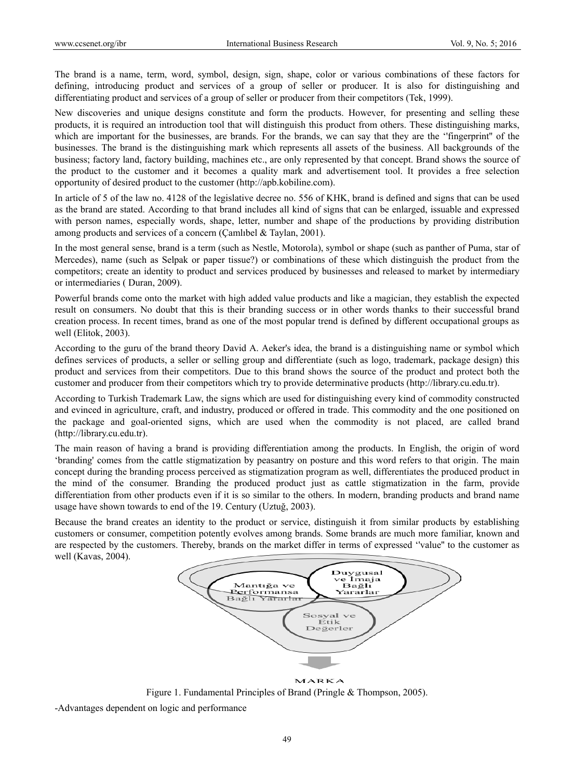The brand is a name, term, word, symbol, design, sign, shape, color or various combinations of these factors for defining, introducing product and services of a group of seller or producer. It is also for distinguishing and differentiating product and services of a group of seller or producer from their competitors (Tek, 1999).

New discoveries and unique designs constitute and form the products. However, for presenting and selling these products, it is required an introduction tool that will distinguish this product from others. These distinguishing marks, which are important for the businesses, are brands. For the brands, we can say that they are the "fingerprint" of the businesses. The brand is the distinguishing mark which represents all assets of the business. All backgrounds of the business; factory land, factory building, machines etc., are only represented by that concept. Brand shows the source of the product to the customer and it becomes a quality mark and advertisement tool. It provides a free selection opportunity of desired product to the customer (http://apb.kobiline.com).

In article of 5 of the law no. 4128 of the legislative decree no. 556 of KHK, brand is defined and signs that can be used as the brand are stated. According to that brand includes all kind of signs that can be enlarged, issuable and expressed with person names, especially words, shape, letter, number and shape of the productions by providing distribution among products and services of a concern (Çamlıbel & Taylan, 2001).

In the most general sense, brand is a term (such as Nestle, Motorola), symbol or shape (such as panther of Puma, star of Mercedes), name (such as Selpak or paper tissue?) or combinations of these which distinguish the product from the competitors; create an identity to product and services produced by businesses and released to market by intermediary or intermediaries ( Duran, 2009).

Powerful brands come onto the market with high added value products and like a magician, they establish the expected result on consumers. No doubt that this is their branding success or in other words thanks to their successful brand creation process. In recent times, brand as one of the most popular trend is defined by different occupational groups as well (Elitok, 2003).

According to the guru of the brand theory David A. Aeker's idea, the brand is a distinguishing name or symbol which defines services of products, a seller or selling group and differentiate (such as logo, trademark, package design) this product and services from their competitors. Due to this brand shows the source of the product and protect both the customer and producer from their competitors which try to provide determinative products (http://library.cu.edu.tr).

According to Turkish Trademark Law, the signs which are used for distinguishing every kind of commodity constructed and evinced in agriculture, craft, and industry, produced or offered in trade. This commodity and the one positioned on the package and goal-oriented signs, which are used when the commodity is not placed, are called brand (http://library.cu.edu.tr).

The main reason of having a brand is providing differentiation among the products. In English, the origin of word 'branding' comes from the cattle stigmatization by peasantry on posture and this word refers to that origin. The main concept during the branding process perceived as stigmatization program as well, differentiates the produced product in the mind of the consumer. Branding the produced product just as cattle stigmatization in the farm, provide differentiation from other products even if it is so similar to the others. In modern, branding products and brand name usage have shown towards to end of the 19. Century (Uztuğ, 2003).

Because the brand creates an identity to the product or service, distinguish it from similar products by establishing customers or consumer, competition potently evolves among brands. Some brands are much more familiar, known and are respected by the customers. Thereby, brands on the market differ in terms of expressed ''value'' to the customer as well (Kavas, 2004).



MARKA

Figure 1. Fundamental Principles of Brand (Pringle & Thompson, 2005).

-Advantages dependent on logic and performance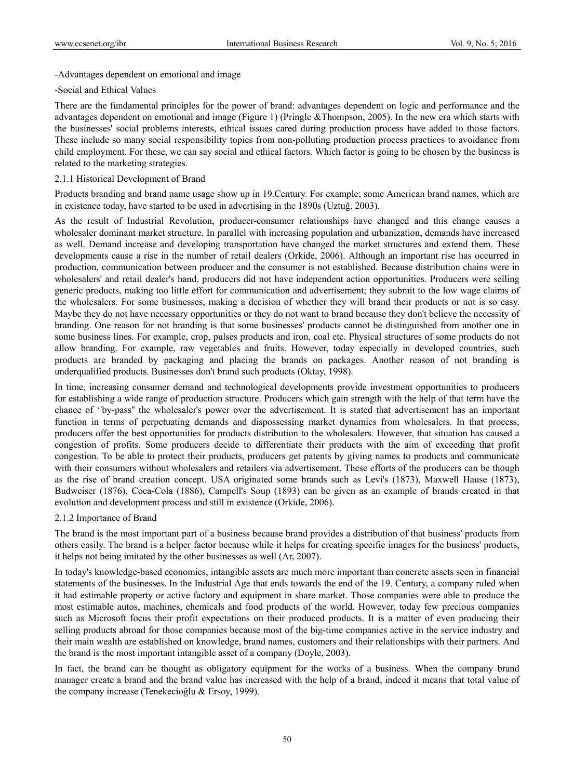-Advantages dependent on emotional and image

#### -Social and Ethical Values

There are the fundamental principles for the power of brand: advantages dependent on logic and performance and the advantages dependent on emotional and image (Figure 1) (Pringle &Thompson, 2005). In the new era which starts with the businesses' social problems interests, ethical issues cared during production process have added to those factors. These include so many social responsibility topics from non-polluting production process practices to avoidance from child employment. For these, we can say social and ethical factors. Which factor is going to be chosen by the business is related to the marketing strategies.

## 2.1.1 Historical Development of Brand

Products branding and brand name usage show up in 19.Century. For example; some American brand names, which are in existence today, have started to be used in advertising in the 1890s (Uztuğ, 2003).

As the result of Industrial Revolution, producer-consumer relationships have changed and this change causes a wholesaler dominant market structure. In parallel with increasing population and urbanization, demands have increased as well. Demand increase and developing transportation have changed the market structures and extend them. These developments cause a rise in the number of retail dealers (Orkide, 2006). Although an important rise has occurred in production, communication between producer and the consumer is not established. Because distribution chains were in wholesalers' and retail dealer's hand, producers did not have independent action opportunities. Producers were selling generic products, making too little effort for communication and advertisement; they submit to the low wage claims of the wholesalers. For some businesses, making a decision of whether they will brand their products or not is so easy. Maybe they do not have necessary opportunities or they do not want to brand because they don't believe the necessity of branding. One reason for not branding is that some businesses' products cannot be distinguished from another one in some business lines. For example, crop, pulses products and iron, coal etc. Physical structures of some products do not allow branding. For example, raw vegetables and fruits. However, today especially in developed countries, such products are branded by packaging and placing the brands on packages. Another reason of not branding is underqualified products. Businesses don't brand such products (Oktay, 1998).

In time, increasing consumer demand and technological developments provide investment opportunities to producers for establishing a wide range of production structure. Producers which gain strength with the help of that term have the chance of ''by-pass'' the wholesaler's power over the advertisement. It is stated that advertisement has an important function in terms of perpetuating demands and dispossessing market dynamics from wholesalers. In that process, producers offer the best opportunities for products distribution to the wholesalers. However, that situation has caused a congestion of profits. Some producers decide to differentiate their products with the aim of exceeding that profit congestion. To be able to protect their products, producers get patents by giving names to products and communicate with their consumers without wholesalers and retailers via advertisement. These efforts of the producers can be though as the rise of brand creation concept. USA originated some brands such as Levi's (1873), Maxwell Hause (1873), Budweiser (1876), Coca-Cola (1886), Campell's Soup (1893) can be given as an example of brands created in that evolution and development process and still in existence (Orkide, 2006).

## 2.1.2 Importance of Brand

The brand is the most important part of a business because brand provides a distribution of that business' products from others easily. The brand is a helper factor because while it helps for creating specific images for the business' products, it helps not being imitated by the other businesses as well (Ar, 2007).

In today's knowledge-based economies, intangible assets are much more important than concrete assets seen in financial statements of the businesses. In the Industrial Age that ends towards the end of the 19. Century, a company ruled when it had estimable property or active factory and equipment in share market. Those companies were able to produce the most estimable autos, machines, chemicals and food products of the world. However, today few precious companies such as Microsoft focus their profit expectations on their produced products. It is a matter of even producing their selling products abroad for those companies because most of the big-time companies active in the service industry and their main wealth are established on knowledge, brand names, customers and their relationships with their partners. And the brand is the most important intangible asset of a company (Doyle, 2003).

In fact, the brand can be thought as obligatory equipment for the works of a business. When the company brand manager create a brand and the brand value has increased with the help of a brand, indeed it means that total value of the company increase (Tenekecioğlu & Ersoy, 1999).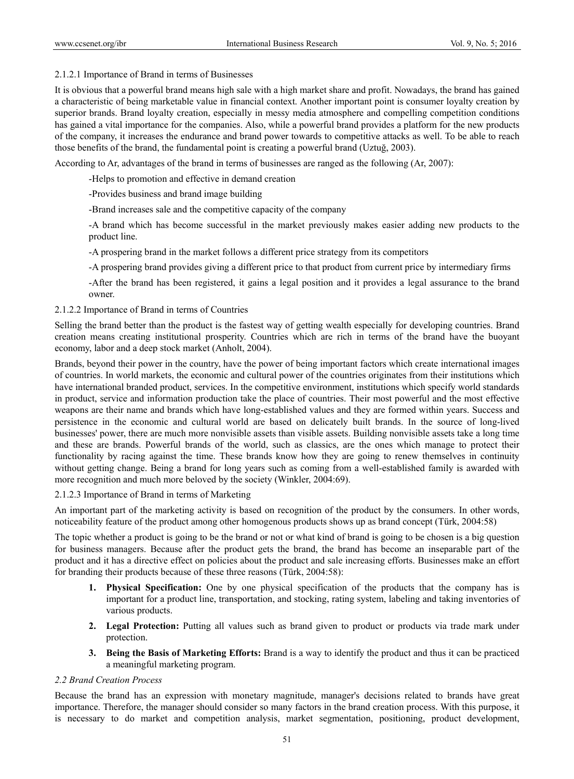## 2.1.2.1 Importance of Brand in terms of Businesses

It is obvious that a powerful brand means high sale with a high market share and profit. Nowadays, the brand has gained a characteristic of being marketable value in financial context. Another important point is consumer loyalty creation by superior brands. Brand loyalty creation, especially in messy media atmosphere and compelling competition conditions has gained a vital importance for the companies. Also, while a powerful brand provides a platform for the new products of the company, it increases the endurance and brand power towards to competitive attacks as well. To be able to reach those benefits of the brand, the fundamental point is creating a powerful brand (Uztuğ, 2003).

According to Ar, advantages of the brand in terms of businesses are ranged as the following (Ar, 2007):

-Helps to promotion and effective in demand creation

-Provides business and brand image building

-Brand increases sale and the competitive capacity of the company

-A brand which has become successful in the market previously makes easier adding new products to the product line.

-A prospering brand in the market follows a different price strategy from its competitors

-A prospering brand provides giving a different price to that product from current price by intermediary firms

-After the brand has been registered, it gains a legal position and it provides a legal assurance to the brand owner.

2.1.2.2 Importance of Brand in terms of Countries

Selling the brand better than the product is the fastest way of getting wealth especially for developing countries. Brand creation means creating institutional prosperity. Countries which are rich in terms of the brand have the buoyant economy, labor and a deep stock market (Anholt, 2004).

Brands, beyond their power in the country, have the power of being important factors which create international images of countries. In world markets, the economic and cultural power of the countries originates from their institutions which have international branded product, services. In the competitive environment, institutions which specify world standards in product, service and information production take the place of countries. Their most powerful and the most effective weapons are their name and brands which have long-established values and they are formed within years. Success and persistence in the economic and cultural world are based on delicately built brands. In the source of long-lived businesses' power, there are much more nonvisible assets than visible assets. Building nonvisible assets take a long time and these are brands. Powerful brands of the world, such as classics, are the ones which manage to protect their functionality by racing against the time. These brands know how they are going to renew themselves in continuity without getting change. Being a brand for long years such as coming from a well-established family is awarded with more recognition and much more beloved by the society (Winkler, 2004:69).

2.1.2.3 Importance of Brand in terms of Marketing

An important part of the marketing activity is based on recognition of the product by the consumers. In other words, noticeability feature of the product among other homogenous products shows up as brand concept (Türk, 2004:58)

The topic whether a product is going to be the brand or not or what kind of brand is going to be chosen is a big question for business managers. Because after the product gets the brand, the brand has become an inseparable part of the product and it has a directive effect on policies about the product and sale increasing efforts. Businesses make an effort for branding their products because of these three reasons (Türk, 2004:58):

- **1. Physical Specification:** One by one physical specification of the products that the company has is important for a product line, transportation, and stocking, rating system, labeling and taking inventories of various products.
- **2. Legal Protection:** Putting all values such as brand given to product or products via trade mark under protection.
- **3. Being the Basis of Marketing Efforts:** Brand is a way to identify the product and thus it can be practiced a meaningful marketing program.

#### *2.2 Brand Creation Process*

Because the brand has an expression with monetary magnitude, manager's decisions related to brands have great importance. Therefore, the manager should consider so many factors in the brand creation process. With this purpose, it is necessary to do market and competition analysis, market segmentation, positioning, product development,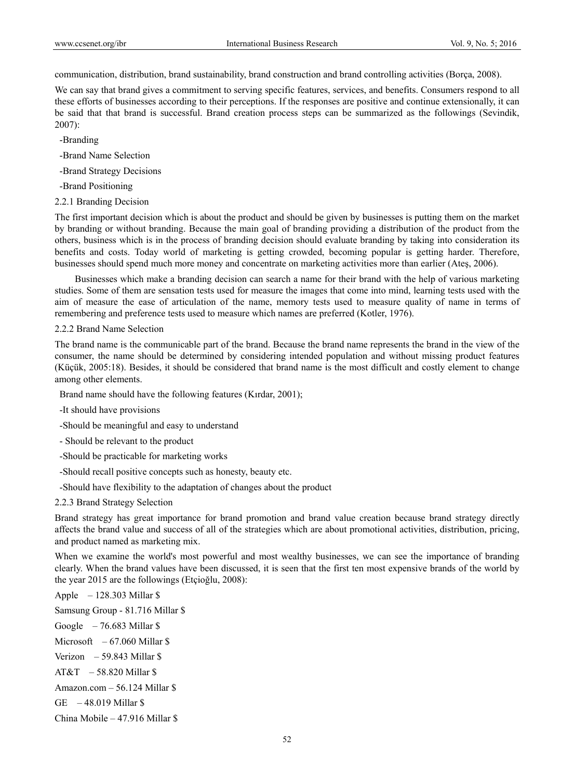communication, distribution, brand sustainability, brand construction and brand controlling activities (Borça, 2008).

We can say that brand gives a commitment to serving specific features, services, and benefits. Consumers respond to all these efforts of businesses according to their perceptions. If the responses are positive and continue extensionally, it can be said that that brand is successful. Brand creation process steps can be summarized as the followings (Sevindik, 2007):

- -Branding
- -Brand Name Selection
- -Brand Strategy Decisions
- -Brand Positioning
- 2.2.1 Branding Decision

The first important decision which is about the product and should be given by businesses is putting them on the market by branding or without branding. Because the main goal of branding providing a distribution of the product from the others, business which is in the process of branding decision should evaluate branding by taking into consideration its benefits and costs. Today world of marketing is getting crowded, becoming popular is getting harder. Therefore, businesses should spend much more money and concentrate on marketing activities more than earlier (Ateş, 2006).

 Businesses which make a branding decision can search a name for their brand with the help of various marketing studies. Some of them are sensation tests used for measure the images that come into mind, learning tests used with the aim of measure the ease of articulation of the name, memory tests used to measure quality of name in terms of remembering and preference tests used to measure which names are preferred (Kotler, 1976).

#### 2.2.2 Brand Name Selection

The brand name is the communicable part of the brand. Because the brand name represents the brand in the view of the consumer, the name should be determined by considering intended population and without missing product features (Küçük, 2005:18). Besides, it should be considered that brand name is the most difficult and costly element to change among other elements.

Brand name should have the following features (Kırdar, 2001);

- -It should have provisions
- -Should be meaningful and easy to understand
- Should be relevant to the product
- -Should be practicable for marketing works
- -Should recall positive concepts such as honesty, beauty etc.
- -Should have flexibility to the adaptation of changes about the product

#### 2.2.3 Brand Strategy Selection

Brand strategy has great importance for brand promotion and brand value creation because brand strategy directly affects the brand value and success of all of the strategies which are about promotional activities, distribution, pricing, and product named as marketing mix.

When we examine the world's most powerful and most wealthy businesses, we can see the importance of branding clearly. When the brand values have been discussed, it is seen that the first ten most expensive brands of the world by the year 2015 are the followings (Etçioğlu, 2008):

Apple – 128.303 Millar \$ Samsung Group - 81.716 Millar \$ Google  $-76.683$  Millar \$ Microsoft  $-67.060$  Millar \$ Verizon – 59.843 Millar \$ AT&T – 58.820 Millar \$ Amazon.com – 56.124 Millar \$ GE  $-48.019$  Millar \$ China Mobile – 47.916 Millar \$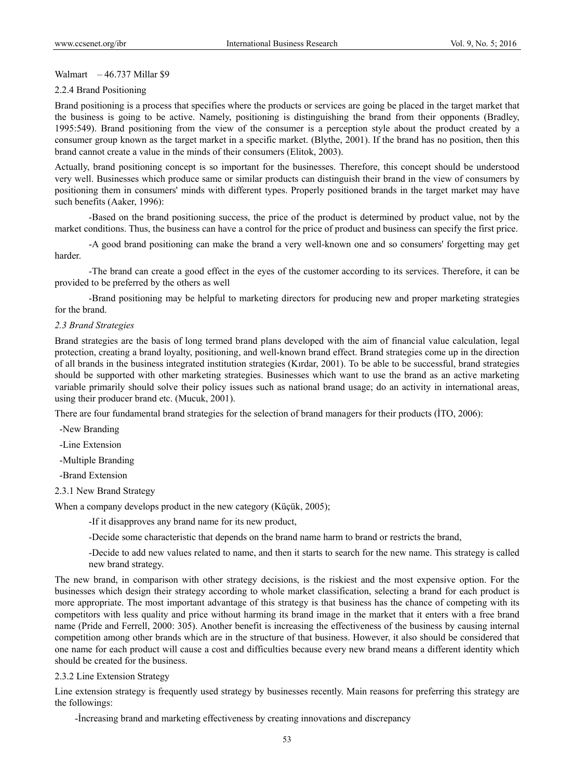#### Walmart  $-46.737$  Millar \$9

#### 2.2.4 Brand Positioning

Brand positioning is a process that specifies where the products or services are going be placed in the target market that the business is going to be active. Namely, positioning is distinguishing the brand from their opponents (Bradley, 1995:549). Brand positioning from the view of the consumer is a perception style about the product created by a consumer group known as the target market in a specific market. (Blythe, 2001). If the brand has no position, then this brand cannot create a value in the minds of their consumers (Elitok, 2003).

Actually, brand positioning concept is so important for the businesses. Therefore, this concept should be understood very well. Businesses which produce same or similar products can distinguish their brand in the view of consumers by positioning them in consumers' minds with different types. Properly positioned brands in the target market may have such benefits (Aaker, 1996):

-Based on the brand positioning success, the price of the product is determined by product value, not by the market conditions. Thus, the business can have a control for the price of product and business can specify the first price.

-A good brand positioning can make the brand a very well-known one and so consumers' forgetting may get harder.

-The brand can create a good effect in the eyes of the customer according to its services. Therefore, it can be provided to be preferred by the others as well

-Brand positioning may be helpful to marketing directors for producing new and proper marketing strategies for the brand.

#### *2.3 Brand Strategies*

Brand strategies are the basis of long termed brand plans developed with the aim of financial value calculation, legal protection, creating a brand loyalty, positioning, and well-known brand effect. Brand strategies come up in the direction of all brands in the business integrated institution strategies (Kırdar, 2001). To be able to be successful, brand strategies should be supported with other marketing strategies. Businesses which want to use the brand as an active marketing variable primarily should solve their policy issues such as national brand usage; do an activity in international areas, using their producer brand etc. (Mucuk, 2001).

There are four fundamental brand strategies for the selection of brand managers for their products (İTO, 2006):

-New Branding

-Line Extension

-Multiple Branding

-Brand Extension

2.3.1 New Brand Strategy

When a company develops product in the new category (Küçük, 2005);

-If it disapproves any brand name for its new product,

-Decide some characteristic that depends on the brand name harm to brand or restricts the brand,

-Decide to add new values related to name, and then it starts to search for the new name. This strategy is called new brand strategy.

The new brand, in comparison with other strategy decisions, is the riskiest and the most expensive option. For the businesses which design their strategy according to whole market classification, selecting a brand for each product is more appropriate. The most important advantage of this strategy is that business has the chance of competing with its competitors with less quality and price without harming its brand image in the market that it enters with a free brand name (Pride and Ferrell, 2000: 305). Another benefit is increasing the effectiveness of the business by causing internal competition among other brands which are in the structure of that business. However, it also should be considered that one name for each product will cause a cost and difficulties because every new brand means a different identity which should be created for the business.

#### 2.3.2 Line Extension Strategy

Line extension strategy is frequently used strategy by businesses recently. Main reasons for preferring this strategy are the followings:

-İncreasing brand and marketing effectiveness by creating innovations and discrepancy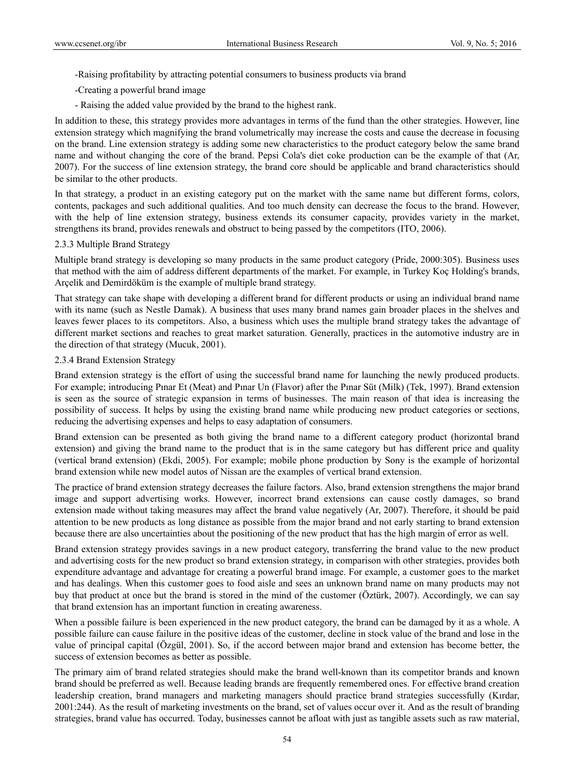-Raising profitability by attracting potential consumers to business products via brand

- -Creating a powerful brand image
- Raising the added value provided by the brand to the highest rank.

In addition to these, this strategy provides more advantages in terms of the fund than the other strategies. However, line extension strategy which magnifying the brand volumetrically may increase the costs and cause the decrease in focusing on the brand. Line extension strategy is adding some new characteristics to the product category below the same brand name and without changing the core of the brand. Pepsi Cola's diet coke production can be the example of that (Ar, 2007). For the success of line extension strategy, the brand core should be applicable and brand characteristics should be similar to the other products.

In that strategy, a product in an existing category put on the market with the same name but different forms, colors, contents, packages and such additional qualities. And too much density can decrease the focus to the brand. However, with the help of line extension strategy, business extends its consumer capacity, provides variety in the market, strengthens its brand, provides renewals and obstruct to being passed by the competitors (ITO, 2006).

#### 2.3.3 Multiple Brand Strategy

Multiple brand strategy is developing so many products in the same product category (Pride, 2000:305). Business uses that method with the aim of address different departments of the market. For example, in Turkey Koç Holding's brands, Arçelik and Demirdöküm is the example of multiple brand strategy.

That strategy can take shape with developing a different brand for different products or using an individual brand name with its name (such as Nestle Damak). A business that uses many brand names gain broader places in the shelves and leaves fewer places to its competitors. Also, a business which uses the multiple brand strategy takes the advantage of different market sections and reaches to great market saturation. Generally, practices in the automotive industry are in the direction of that strategy (Mucuk, 2001).

#### 2.3.4 Brand Extension Strategy

Brand extension strategy is the effort of using the successful brand name for launching the newly produced products. For example; introducing Pınar Et (Meat) and Pınar Un (Flavor) after the Pınar Süt (Milk) (Tek, 1997). Brand extension is seen as the source of strategic expansion in terms of businesses. The main reason of that idea is increasing the possibility of success. It helps by using the existing brand name while producing new product categories or sections, reducing the advertising expenses and helps to easy adaptation of consumers.

Brand extension can be presented as both giving the brand name to a different category product (horizontal brand extension) and giving the brand name to the product that is in the same category but has different price and quality (vertical brand extension) (Ekdi, 2005). For example; mobile phone production by Sony is the example of horizontal brand extension while new model autos of Nissan are the examples of vertical brand extension.

The practice of brand extension strategy decreases the failure factors. Also, brand extension strengthens the major brand image and support advertising works. However, incorrect brand extensions can cause costly damages, so brand extension made without taking measures may affect the brand value negatively (Ar, 2007). Therefore, it should be paid attention to be new products as long distance as possible from the major brand and not early starting to brand extension because there are also uncertainties about the positioning of the new product that has the high margin of error as well.

Brand extension strategy provides savings in a new product category, transferring the brand value to the new product and advertising costs for the new product so brand extension strategy, in comparison with other strategies, provides both expenditure advantage and advantage for creating a powerful brand image. For example, a customer goes to the market and has dealings. When this customer goes to food aisle and sees an unknown brand name on many products may not buy that product at once but the brand is stored in the mind of the customer (Öztürk, 2007). Accordingly, we can say that brand extension has an important function in creating awareness.

When a possible failure is been experienced in the new product category, the brand can be damaged by it as a whole. A possible failure can cause failure in the positive ideas of the customer, decline in stock value of the brand and lose in the value of principal capital (Özgül, 2001). So, if the accord between major brand and extension has become better, the success of extension becomes as better as possible.

The primary aim of brand related strategies should make the brand well-known than its competitor brands and known brand should be preferred as well. Because leading brands are frequently remembered ones. For effective brand creation leadership creation, brand managers and marketing managers should practice brand strategies successfully (Kırdar, 2001:244). As the result of marketing investments on the brand, set of values occur over it. And as the result of branding strategies, brand value has occurred. Today, businesses cannot be afloat with just as tangible assets such as raw material,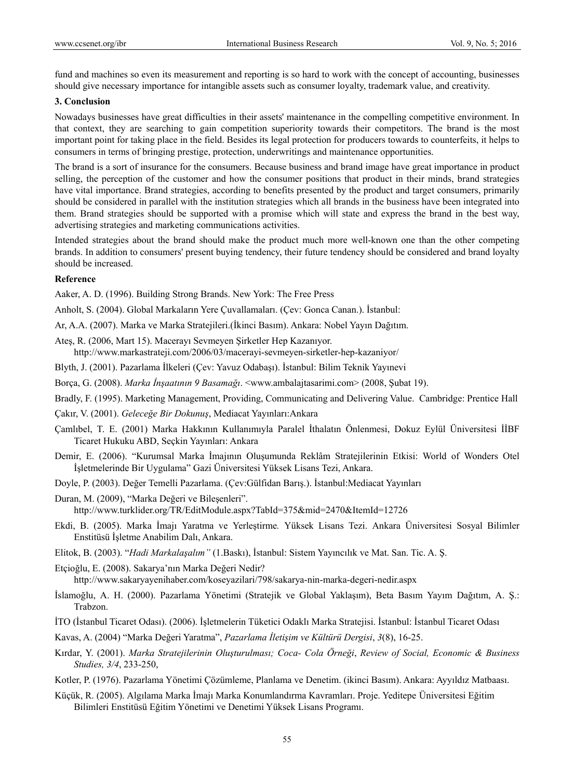fund and machines so even its measurement and reporting is so hard to work with the concept of accounting, businesses should give necessary importance for intangible assets such as consumer loyalty, trademark value, and creativity.

#### **3. Conclusion**

Nowadays businesses have great difficulties in their assets' maintenance in the compelling competitive environment. In that context, they are searching to gain competition superiority towards their competitors. The brand is the most important point for taking place in the field. Besides its legal protection for producers towards to counterfeits, it helps to consumers in terms of bringing prestige, protection, underwritings and maintenance opportunities.

The brand is a sort of insurance for the consumers. Because business and brand image have great importance in product selling, the perception of the customer and how the consumer positions that product in their minds, brand strategies have vital importance. Brand strategies, according to benefits presented by the product and target consumers, primarily should be considered in parallel with the institution strategies which all brands in the business have been integrated into them. Brand strategies should be supported with a promise which will state and express the brand in the best way, advertising strategies and marketing communications activities.

Intended strategies about the brand should make the product much more well-known one than the other competing brands. In addition to consumers' present buying tendency, their future tendency should be considered and brand loyalty should be increased.

# **Reference**

Aaker, A. D. (1996). Building Strong Brands. New York: The Free Press

Anholt, S. (2004). Global Markaların Yere Çuvallamaları. (Çev: Gonca Canan.). İstanbul:

Ar, A.A. (2007). Marka ve Marka Stratejileri.(İkinci Basım). Ankara: Nobel Yayın Dağıtım.

Ateş, R. (2006, Mart 15). Macerayı Sevmeyen Şirketler Hep Kazanıyor. http://www.markastrateji.com/2006/03/macerayi-sevmeyen-sirketler-hep-kazaniyor/

- Blyth, J. (2001). Pazarlama İlkeleri (Çev: Yavuz Odabaşı). İstanbul: Bilim Teknik Yayınevi
- Borça, G. (2008). *Marka İnşaatının 9 Basamağı*. <www.ambalajtasarimi.com> (2008, Şubat 19).
- Bradly, F. (1995). Marketing Management, Providing, Communicating and Delivering Value. Cambridge: Prentice Hall
- Çakır, V. (2001). *Geleceğe Bir Dokunuş*, Mediacat Yayınları:Ankara
- Çamlıbel, T. E. (2001) Marka Hakkının Kullanımıyla Paralel İthalatın Önlenmesi, Dokuz Eylül Üniversitesi İİBF Ticaret Hukuku ABD, Seçkin Yayınları: Ankara
- Demir, E. (2006). "Kurumsal Marka İmajının Oluşumunda Reklâm Stratejilerinin Etkisi: World of Wonders Otel İşletmelerinde Bir Uygulama" Gazi Üniversitesi Yüksek Lisans Tezi, Ankara.
- Doyle, P. (2003). Değer Temelli Pazarlama. (Çev:Gülfidan Barış.). İstanbul:Mediacat Yayınları
- Duran, M. (2009), "Marka Değeri ve Bileşenleri". http://www.turklider.org/TR/EditModule.aspx?TabId=375&mid=2470&ItemId=12726
- Ekdi, B. (2005). Marka İmajı Yaratma ve Yerleştirme*.* Yüksek Lisans Tezi. Ankara Üniversitesi Sosyal Bilimler Enstitüsü İşletme Anabilim Dalı, Ankara.
- Elitok, B. (2003). "*Hadi Markalaşalım"* (1.Baskı), İstanbul: Sistem Yayıncılık ve Mat. San. Tic. A. Ş.
- Etçioğlu, E. (2008). Sakarya'nın Marka Değeri Nedir? http://www.sakaryayenihaber.com/koseyazilari/798/sakarya-nin-marka-degeri-nedir.aspx
- İslamoğlu, A. H. (2000). Pazarlama Yönetimi (Stratejik ve Global Yaklaşım), Beta Basım Yayım Dağıtım, A. Ş.: Trabzon.
- İTO (İstanbul Ticaret Odası). (2006). İşletmelerin Tüketici Odaklı Marka Stratejisi. İstanbul: İstanbul Ticaret Odası
- Kavas, A. (2004) "Marka Değeri Yaratma", *Pazarlama İletişim ve Kültürü Dergisi*, *3*(8), 16-25.
- Kırdar, Y. (2001). *Marka Stratejilerinin Oluşturulması; Coca- Cola Örneği*, *Review of Social, Economic & Business Studies, 3/4*, 233-250,
- Kotler, P. (1976). Pazarlama Yönetimi Çözümleme, Planlama ve Denetim. (ikinci Basım). Ankara: Ayyıldız Matbaası.
- Küçük, R. (2005). Algılama Marka İmajı Marka Konumlandırma Kavramları. Proje. Yeditepe Üniversitesi Eğitim Bilimleri Enstitüsü Eğitim Yönetimi ve Denetimi Yüksek Lisans Programı.